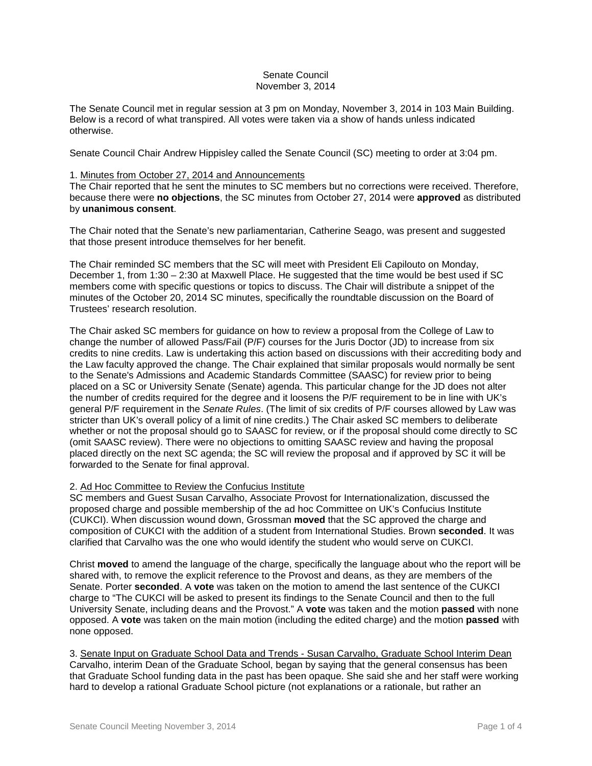## Senate Council November 3, 2014

The Senate Council met in regular session at 3 pm on Monday, November 3, 2014 in 103 Main Building. Below is a record of what transpired. All votes were taken via a show of hands unless indicated otherwise.

Senate Council Chair Andrew Hippisley called the Senate Council (SC) meeting to order at 3:04 pm.

#### 1. Minutes from October 27, 2014 and Announcements

The Chair reported that he sent the minutes to SC members but no corrections were received. Therefore, because there were **no objections**, the SC minutes from October 27, 2014 were **approved** as distributed by **unanimous consent**.

The Chair noted that the Senate's new parliamentarian, Catherine Seago, was present and suggested that those present introduce themselves for her benefit.

The Chair reminded SC members that the SC will meet with President Eli Capilouto on Monday, December 1, from 1:30 – 2:30 at Maxwell Place. He suggested that the time would be best used if SC members come with specific questions or topics to discuss. The Chair will distribute a snippet of the minutes of the October 20, 2014 SC minutes, specifically the roundtable discussion on the Board of Trustees' research resolution.

The Chair asked SC members for guidance on how to review a proposal from the College of Law to change the number of allowed Pass/Fail (P/F) courses for the Juris Doctor (JD) to increase from six credits to nine credits. Law is undertaking this action based on discussions with their accrediting body and the Law faculty approved the change. The Chair explained that similar proposals would normally be sent to the Senate's Admissions and Academic Standards Committee (SAASC) for review prior to being placed on a SC or University Senate (Senate) agenda. This particular change for the JD does not alter the number of credits required for the degree and it loosens the P/F requirement to be in line with UK's general P/F requirement in the *Senate Rules*. (The limit of six credits of P/F courses allowed by Law was stricter than UK's overall policy of a limit of nine credits.) The Chair asked SC members to deliberate whether or not the proposal should go to SAASC for review, or if the proposal should come directly to SC (omit SAASC review). There were no objections to omitting SAASC review and having the proposal placed directly on the next SC agenda; the SC will review the proposal and if approved by SC it will be forwarded to the Senate for final approval.

## 2. Ad Hoc Committee to Review the Confucius Institute

SC members and Guest Susan Carvalho, Associate Provost for Internationalization, discussed the proposed charge and possible membership of the ad hoc Committee on UK's Confucius Institute (CUKCI). When discussion wound down, Grossman **moved** that the SC approved the charge and composition of CUKCI with the addition of a student from International Studies. Brown **seconded**. It was clarified that Carvalho was the one who would identify the student who would serve on CUKCI.

Christ **moved** to amend the language of the charge, specifically the language about who the report will be shared with, to remove the explicit reference to the Provost and deans, as they are members of the Senate. Porter **seconded**. A **vote** was taken on the motion to amend the last sentence of the CUKCI charge to "The CUKCI will be asked to present its findings to the Senate Council and then to the full University Senate, including deans and the Provost." A **vote** was taken and the motion **passed** with none opposed. A **vote** was taken on the main motion (including the edited charge) and the motion **passed** with none opposed.

3. Senate Input on Graduate School Data and Trends - Susan Carvalho, Graduate School Interim Dean Carvalho, interim Dean of the Graduate School, began by saying that the general consensus has been that Graduate School funding data in the past has been opaque. She said she and her staff were working hard to develop a rational Graduate School picture (not explanations or a rationale, but rather an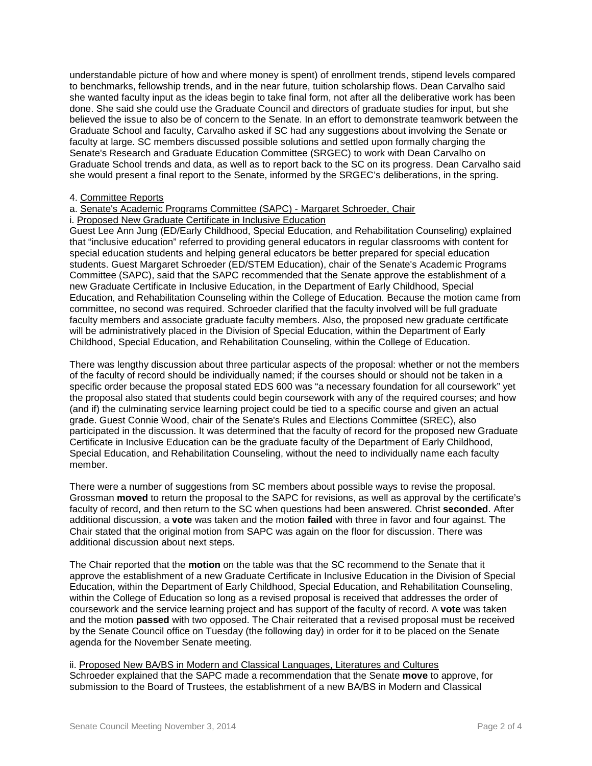understandable picture of how and where money is spent) of enrollment trends, stipend levels compared to benchmarks, fellowship trends, and in the near future, tuition scholarship flows. Dean Carvalho said she wanted faculty input as the ideas begin to take final form, not after all the deliberative work has been done. She said she could use the Graduate Council and directors of graduate studies for input, but she believed the issue to also be of concern to the Senate. In an effort to demonstrate teamwork between the Graduate School and faculty, Carvalho asked if SC had any suggestions about involving the Senate or faculty at large. SC members discussed possible solutions and settled upon formally charging the Senate's Research and Graduate Education Committee (SRGEC) to work with Dean Carvalho on Graduate School trends and data, as well as to report back to the SC on its progress. Dean Carvalho said she would present a final report to the Senate, informed by the SRGEC's deliberations, in the spring.

## 4. Committee Reports

## a. Senate's Academic Programs Committee (SAPC) - Margaret Schroeder, Chair

i. Proposed New Graduate Certificate in Inclusive Education

Guest Lee Ann Jung (ED/Early Childhood, Special Education, and Rehabilitation Counseling) explained that "inclusive education" referred to providing general educators in regular classrooms with content for special education students and helping general educators be better prepared for special education students. Guest Margaret Schroeder (ED/STEM Education), chair of the Senate's Academic Programs Committee (SAPC), said that the SAPC recommended that the Senate approve the establishment of a new Graduate Certificate in Inclusive Education, in the Department of Early Childhood, Special Education, and Rehabilitation Counseling within the College of Education. Because the motion came from committee, no second was required. Schroeder clarified that the faculty involved will be full graduate faculty members and associate graduate faculty members. Also, the proposed new graduate certificate will be administratively placed in the Division of Special Education, within the Department of Early Childhood, Special Education, and Rehabilitation Counseling, within the College of Education.

There was lengthy discussion about three particular aspects of the proposal: whether or not the members of the faculty of record should be individually named; if the courses should or should not be taken in a specific order because the proposal stated EDS 600 was "a necessary foundation for all coursework" yet the proposal also stated that students could begin coursework with any of the required courses; and how (and if) the culminating service learning project could be tied to a specific course and given an actual grade. Guest Connie Wood, chair of the Senate's Rules and Elections Committee (SREC), also participated in the discussion. It was determined that the faculty of record for the proposed new Graduate Certificate in Inclusive Education can be the graduate faculty of the Department of Early Childhood, Special Education, and Rehabilitation Counseling, without the need to individually name each faculty member.

There were a number of suggestions from SC members about possible ways to revise the proposal. Grossman **moved** to return the proposal to the SAPC for revisions, as well as approval by the certificate's faculty of record, and then return to the SC when questions had been answered. Christ **seconded**. After additional discussion, a **vote** was taken and the motion **failed** with three in favor and four against. The Chair stated that the original motion from SAPC was again on the floor for discussion. There was additional discussion about next steps.

The Chair reported that the **motion** on the table was that the SC recommend to the Senate that it approve the establishment of a new Graduate Certificate in Inclusive Education in the Division of Special Education, within the Department of Early Childhood, Special Education, and Rehabilitation Counseling, within the College of Education so long as a revised proposal is received that addresses the order of coursework and the service learning project and has support of the faculty of record. A **vote** was taken and the motion **passed** with two opposed. The Chair reiterated that a revised proposal must be received by the Senate Council office on Tuesday (the following day) in order for it to be placed on the Senate agenda for the November Senate meeting.

ii. Proposed New BA/BS in Modern and Classical Languages, Literatures and Cultures Schroeder explained that the SAPC made a recommendation that the Senate **move** to approve, for submission to the Board of Trustees, the establishment of a new BA/BS in Modern and Classical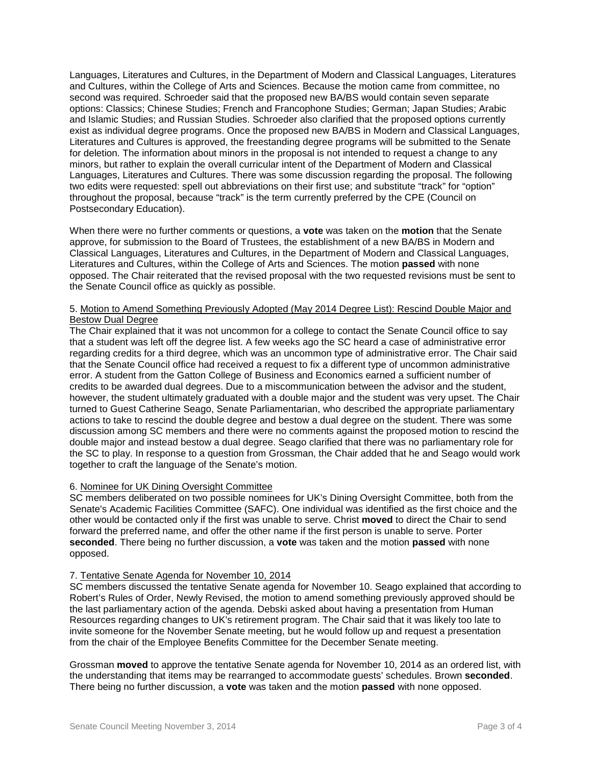Languages, Literatures and Cultures, in the Department of Modern and Classical Languages, Literatures and Cultures, within the College of Arts and Sciences. Because the motion came from committee, no second was required. Schroeder said that the proposed new BA/BS would contain seven separate options: Classics; Chinese Studies; French and Francophone Studies; German; Japan Studies; Arabic and Islamic Studies; and Russian Studies. Schroeder also clarified that the proposed options currently exist as individual degree programs. Once the proposed new BA/BS in Modern and Classical Languages, Literatures and Cultures is approved, the freestanding degree programs will be submitted to the Senate for deletion. The information about minors in the proposal is not intended to request a change to any minors, but rather to explain the overall curricular intent of the Department of Modern and Classical Languages, Literatures and Cultures. There was some discussion regarding the proposal. The following two edits were requested: spell out abbreviations on their first use; and substitute "track" for "option" throughout the proposal, because "track" is the term currently preferred by the CPE (Council on Postsecondary Education).

When there were no further comments or questions, a **vote** was taken on the **motion** that the Senate approve, for submission to the Board of Trustees, the establishment of a new BA/BS in Modern and Classical Languages, Literatures and Cultures, in the Department of Modern and Classical Languages, Literatures and Cultures, within the College of Arts and Sciences. The motion **passed** with none opposed. The Chair reiterated that the revised proposal with the two requested revisions must be sent to the Senate Council office as quickly as possible.

# 5. Motion to Amend Something Previously Adopted (May 2014 Degree List): Rescind Double Major and Bestow Dual Degree

The Chair explained that it was not uncommon for a college to contact the Senate Council office to say that a student was left off the degree list. A few weeks ago the SC heard a case of administrative error regarding credits for a third degree, which was an uncommon type of administrative error. The Chair said that the Senate Council office had received a request to fix a different type of uncommon administrative error. A student from the Gatton College of Business and Economics earned a sufficient number of credits to be awarded dual degrees. Due to a miscommunication between the advisor and the student, however, the student ultimately graduated with a double major and the student was very upset. The Chair turned to Guest Catherine Seago, Senate Parliamentarian, who described the appropriate parliamentary actions to take to rescind the double degree and bestow a dual degree on the student. There was some discussion among SC members and there were no comments against the proposed motion to rescind the double major and instead bestow a dual degree. Seago clarified that there was no parliamentary role for the SC to play. In response to a question from Grossman, the Chair added that he and Seago would work together to craft the language of the Senate's motion.

## 6. Nominee for UK Dining Oversight Committee

SC members deliberated on two possible nominees for UK's Dining Oversight Committee, both from the Senate's Academic Facilities Committee (SAFC). One individual was identified as the first choice and the other would be contacted only if the first was unable to serve. Christ **moved** to direct the Chair to send forward the preferred name, and offer the other name if the first person is unable to serve. Porter **seconded**. There being no further discussion, a **vote** was taken and the motion **passed** with none opposed.

#### 7. Tentative Senate Agenda for November 10, 2014

SC members discussed the tentative Senate agenda for November 10. Seago explained that according to Robert's Rules of Order, Newly Revised, the motion to amend something previously approved should be the last parliamentary action of the agenda. Debski asked about having a presentation from Human Resources regarding changes to UK's retirement program. The Chair said that it was likely too late to invite someone for the November Senate meeting, but he would follow up and request a presentation from the chair of the Employee Benefits Committee for the December Senate meeting.

Grossman **moved** to approve the tentative Senate agenda for November 10, 2014 as an ordered list, with the understanding that items may be rearranged to accommodate guests' schedules. Brown **seconded**. There being no further discussion, a **vote** was taken and the motion **passed** with none opposed.